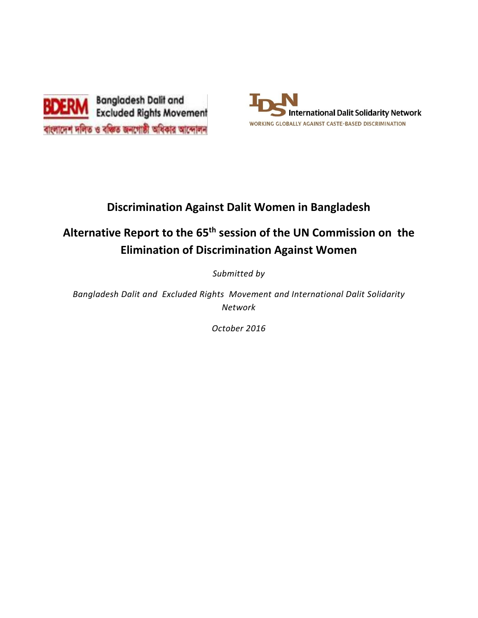



## **Discrimination Against Dalit Women in Bangladesh**

# **Alternative Report to the 65th session of the UN Commission on the Elimination of Discrimination Against Women**

*Submitted by*

*Bangladesh Dalit and Excluded Rights Movement and International Dalit Solidarity Network*

*October 2016*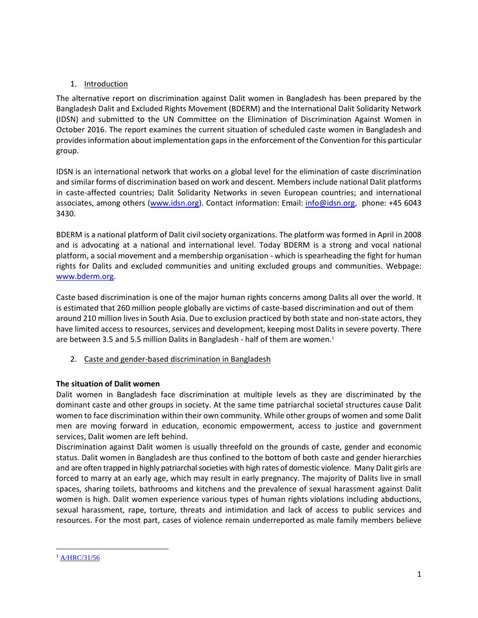## 1. Introduction

The alternative report on discrimination against Dalit women in Bangladesh has been prepared by the Bangladesh Dalit and Excluded Rights Movement (BDERM) and the International Dalit Solidarity Network (IDSN) and submitted to the UN Committee on the Elimination of Discrimination Against Women in October 2016. The report examines the current situation of scheduled caste women in Bangladesh and provides information about implementation gaps in the enforcement of the Convention for this particular group.

IDSN is an international network that works on a global level for the elimination of caste discrimination and similar forms of discrimination based on work and descent. Members include national Dalit platforms in caste-affected countries; Dalit Solidarity Networks in seven European countries; and international associates, among others [\(www.idsn.org\)](http://www.idsn.org/). Contact information: Email: [info@idsn.org,](mailto:info@idsn.org) phone: +45 6043 3430.

BDERM is a national platform of Dalit civil society organizations. The platform was formed in April in 2008 and is advocating at a national and international level. Today BDERM is a strong and vocal national platform, a social movement and a membership organisation - which is spearheading the fight for human rights for Dalits and excluded communities and uniting excluded groups and communities. Webpage: [www.bderm.org.](http://www.bderm.org/)

Caste based discrimination is one of the major human rights concerns among Dalits all over the world. It is estimated that 260 million people globally are victims of caste-based discrimination and out of them around 210 million lives in South Asia. Due to exclusion practiced by both state and non-state actors, they have limited access to resources, services and development, keeping most Dalits in severe poverty. There are between 3.5 and 5.5 million Dalits in Bangladesh - half of them are women.<sup>1</sup>

2. Caste and gender-based discrimination in Bangladesh

## **The situation of Dalit women**

Dalit women in Bangladesh face discrimination at multiple levels as they are discriminated by the dominant caste and other groups in society. At the same time patriarchal societal structures cause Dalit women to face discrimination within their own community. While other groups of women and some Dalit men are moving forward in education, economic empowerment, access to justice and government services, Dalit women are left behind.

Discrimination against Dalit women is usually threefold on the grounds of caste, gender and economic status. Dalit women in Bangladesh are thus confined to the bottom of both caste and gender hierarchies and are often trapped in highly patriarchal societies with high rates of domestic violence. Many Dalit girls are forced to marry at an early age, which may result in early pregnancy. The majority of Dalits live in small spaces, sharing toilets, bathrooms and kitchens and the prevalence of sexual harassment against Dalit women is high. Dalit women experience various types of human rights violations including abductions, sexual harassment, rape, torture, threats and intimidation and lack of access to public services and resources. For the most part, cases of violence remain underreported as male family members believe

 $\overline{\phantom{a}}$ <sup>1</sup> [A/HRC/31/56](http://www.ohchr.org/EN/HRBodies/HRC/RegularSessions/Session31/Documents/A_HRC_31_56_en.doc)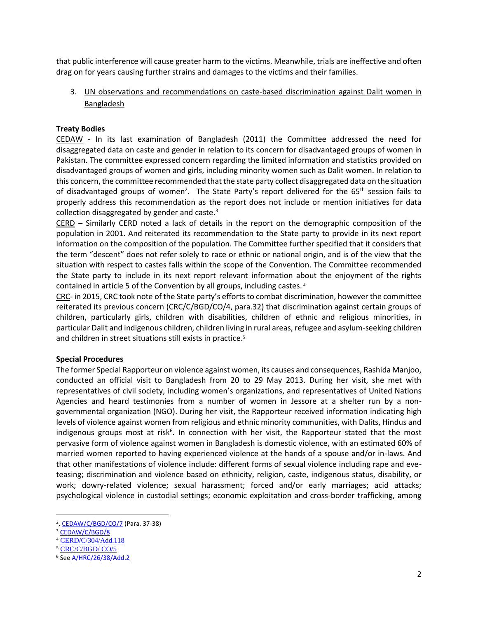that public interference will cause greater harm to the victims. Meanwhile, trials are ineffective and often drag on for years causing further strains and damages to the victims and their families.

3. UN observations and recommendations on caste-based discrimination against Dalit women in Bangladesh

## **Treaty Bodies**

CEDAW - In its last examination of Bangladesh (2011) the Committee addressed the need for disaggregated data on caste and gender in relation to its concern for disadvantaged groups of women in Pakistan. The committee expressed concern regarding the limited information and statistics provided on disadvantaged groups of women and girls, including minority women such as Dalit women. In relation to this concern, the committee recommended that the state party collect disaggregated data on the situation of disadvantaged groups of women<sup>2</sup>. The State Party's report delivered for the 65<sup>th</sup> session fails to properly address this recommendation as the report does not include or mention initiatives for data collection disaggregated by gender and caste.<sup>3</sup>

CERD – Similarly CERD noted a lack of details in the report on the demographic composition of the population in 2001. And reiterated its recommendation to the State party to provide in its next report information on the composition of the population. The Committee further specified that it considers that the term "descent" does not refer solely to race or ethnic or national origin, and is of the view that the situation with respect to castes falls within the scope of the Convention. The Committee recommended the State party to include in its next report relevant information about the enjoyment of the rights contained in article 5 of the Convention by all groups, including castes. <sup>4</sup>

CRC- in 2015, CRC took note of the State party's efforts to combat discrimination, however the committee reiterated its previous concern (CRC/C/BGD/CO/4, para.32) that discrimination against certain groups of children, particularly girls, children with disabilities, children of ethnic and religious minorities, in particular Dalit and indigenous children, children living in rural areas, refugee and asylum-seeking children and children in street situations still exists in practice.<sup>5</sup>

## **Special Procedures**

The former Special Rapporteur on violence against women, its causes and consequences, Rashida Manjoo, conducted an official visit to Bangladesh from 20 to 29 May 2013. During her visit, she met with representatives of civil society, including women's organizations, and representatives of United Nations Agencies and heard testimonies from a number of women in Jessore at a shelter run by a nongovernmental organization (NGO). During her visit, the Rapporteur received information indicating high levels of violence against women from religious and ethnic minority communities, with Dalits, Hindus and indigenous groups most at risk<sup>6</sup>. In connection with her visit, the Rapporteur stated that the most pervasive form of violence against women in Bangladesh is domestic violence, with an estimated 60% of married women reported to having experienced violence at the hands of a spouse and/or in-laws. And that other manifestations of violence include: different forms of sexual violence including rape and eveteasing; discrimination and violence based on ethnicity, religion, caste, indigenous status, disability, or work; dowry-related violence; sexual harassment; forced and/or early marriages; acid attacks; psychological violence in custodial settings; economic exploitation and cross-border trafficking, among

<sup>&</sup>lt;sup>2</sup>[, CEDAW/C/BGD/CO/7](http://www2.ohchr.org/english/bodies/cedaw/docs/co/CEDAW-C-BGD-CO-7.pdf) (Para. 37-38)

<sup>3</sup> [CEDAW/C/BGD/8](http://tbinternet.ohchr.org/_layouts/treatybodyexternal/Download.aspx?symbolno=CEDAW%2FC%2FBGD%2F8&Lang=en)

<sup>&</sup>lt;sup>4</sup> [CERD/C/304/Add.118](file:///C:/Users/idsn/Downloads/G0141585.pdf)

<sup>5</sup> [CRC/C/BGD/ CO/5](file:///C:/Users/idsn/Downloads/G1524738.pdf)

<sup>6</sup> Se[e A/HRC/26/38/Add.2](http://www.ohchr.org/EN/HRBodies/HRC/RegularSessions/Session26/Documents/A%20HRC%2026%2038_AEV.doc)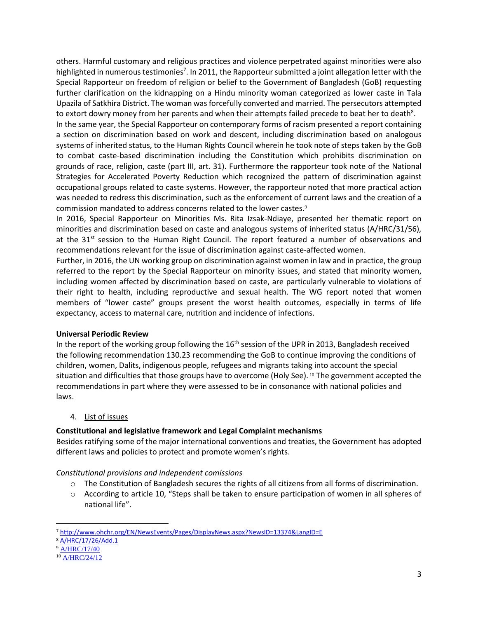others. Harmful customary and religious practices and violence perpetrated against minorities were also highlighted in numerous testimonies<sup>7</sup>. In 2011, the Rapporteur submitted a joint allegation letter with the Special Rapporteur on freedom of religion or belief to the Government of Bangladesh (GoB) requesting further clarification on the kidnapping on a Hindu minority woman categorized as lower caste in Tala Upazila of Satkhira District. The woman was forcefully converted and married. The persecutors attempted to extort dowry money from her parents and when their attempts failed precede to beat her to death<sup>8</sup>.

In the same year, the Special Rapporteur on contemporary forms of racism presented a report containing a section on discrimination based on work and descent, including discrimination based on analogous systems of inherited status, to the Human Rights Council wherein he took note of steps taken by the GoB to combat caste-based discrimination including the Constitution which prohibits discrimination on grounds of race, religion, caste (part III, art. 31). Furthermore the rapporteur took note of the National Strategies for Accelerated Poverty Reduction which recognized the pattern of discrimination against occupational groups related to caste systems. However, the rapporteur noted that more practical action was needed to redress this discrimination, such as the enforcement of current laws and the creation of a commission mandated to address concerns related to the lower castes.<sup>9</sup>

In 2016, Special Rapporteur on Minorities Ms. Rita Izsak-Ndiaye, presented her thematic report on minorities and discrimination based on caste and analogous systems of inherited status (A/HRC/31/56), at the 31<sup>st</sup> session to the Human Right Council. The report featured a number of observations and recommendations relevant for the issue of discrimination against caste-affected women.

Further, in 2016, the UN working group on discrimination against women in law and in practice, the group referred to the report by the Special Rapporteur on minority issues, and stated that minority women, including women affected by discrimination based on caste, are particularly vulnerable to violations of their right to health, including reproductive and sexual health. The WG report noted that women members of "lower caste" groups present the worst health outcomes, especially in terms of life expectancy, access to maternal care, nutrition and incidence of infections.

## **Universal Periodic Review**

In the report of the working group following the  $16<sup>th</sup>$  session of the UPR in 2013, Bangladesh received the following recommendation 130.23 recommending the GoB to continue improving the conditions of children, women, Dalits, indigenous people, refugees and migrants taking into account the special situation and difficulties that those groups have to overcome (Holy See). <sup>10</sup> The government accepted the recommendations in part where they were assessed to be in consonance with national policies and laws.

## 4. List of issues

## **Constitutional and legislative framework and Legal Complaint mechanisms**

Besides ratifying some of the major international conventions and treaties, the Government has adopted different laws and policies to protect and promote women's rights.

*Constitutional provisions and independent comissions*

- $\circ$  The Constitution of Bangladesh secures the rights of all citizens from all forms of discrimination.
- o According to article 10, "Steps shall be taken to ensure participation of women in all spheres of national life".

<sup>7</sup> <http://www.ohchr.org/EN/NewsEvents/Pages/DisplayNews.aspx?NewsID=13374&LangID=E>

<sup>8</sup> [A/HRC/17/26/Add.1](https://daccess-ods.un.org/TMP/8312212.82482147.html)

<sup>&</sup>lt;sup>9</sup> [A/HRC/17/40](file:///C:/Users/idsn/Desktop/A/HRC/17/40)

<sup>10</sup> [A/HRC/24/12](https://documents-dds-ny.un.org/doc/UNDOC/GEN/G13/155/20/PDF/G1315520.pdf?OpenElement)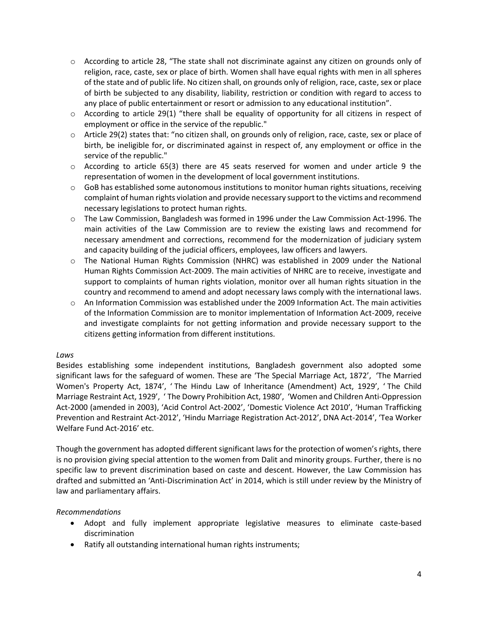- $\circ$  According to article 28, "The state shall not discriminate against any citizen on grounds only of religion, race, caste, sex or place of birth. Women shall have equal rights with men in all spheres of the state and of public life. No citizen shall, on grounds only of religion, race, caste, sex or place of birth be subjected to any disability, liability, restriction or condition with regard to access to any place of public entertainment or resort or admission to any educational institution".
- $\circ$  According to article 29(1) "there shall be equality of opportunity for all citizens in respect of employment or office in the service of the republic."
- $\circ$  Article 29(2) states that: "no citizen shall, on grounds only of religion, race, caste, sex or place of birth, be ineligible for, or discriminated against in respect of, any employment or office in the service of the republic."
- $\circ$  According to article 65(3) there are 45 seats reserved for women and under article 9 the representation of women in the development of local government institutions.
- $\circ$  GoB has established some autonomous institutions to monitor human rights situations, receiving complaint of human rights violation and provide necessary support to the victims and recommend necessary legislations to protect human rights.
- o The Law Commission, Bangladesh was formed in 1996 under the Law Commission Act-1996. The main activities of the Law Commission are to review the existing laws and recommend for necessary amendment and corrections, recommend for the modernization of judiciary system and capacity building of the judicial officers, employees, law officers and lawyers.
- o The National Human Rights Commission (NHRC) was established in 2009 under the National Human Rights Commission Act-2009. The main activities of NHRC are to receive, investigate and support to complaints of human rights violation, monitor over all human rights situation in the country and recommend to amend and adopt necessary laws comply with the international laws.
- o An Information Commission was established under the 2009 Information Act. The main activities of the Information Commission are to monitor implementation of Information Act-2009, receive and investigate complaints for not getting information and provide necessary support to the citizens getting information from different institutions.

## *Laws*

Besides establishing some independent institutions, Bangladesh government also adopted some significant laws for the safeguard of women. These are 'The Special Marriage Act, 1872', 'The Married Women's Property Act, 1874', ' The Hindu Law of Inheritance (Amendment) Act, 1929', ' The Child Marriage Restraint Act, 1929', ' The Dowry Prohibition Act, 1980', 'Women and Children Anti-Oppression Act-2000 (amended in 2003), 'Acid Control Act-2002', 'Domestic Violence Act 2010', 'Human Trafficking Prevention and Restraint Act-2012', 'Hindu Marriage Registration Act-2012', DNA Act-2014', 'Tea Worker Welfare Fund Act-2016' etc.

Though the government has adopted different significant laws for the protection of women's rights, there is no provision giving special attention to the women from Dalit and minority groups. Further, there is no specific law to prevent discrimination based on caste and descent. However, the Law Commission has drafted and submitted an 'Anti-Discrimination Act' in 2014, which is still under review by the Ministry of law and parliamentary affairs.

## *Recommendations*

- Adopt and fully implement appropriate legislative measures to eliminate caste-based discrimination
- Ratify all outstanding international human rights instruments;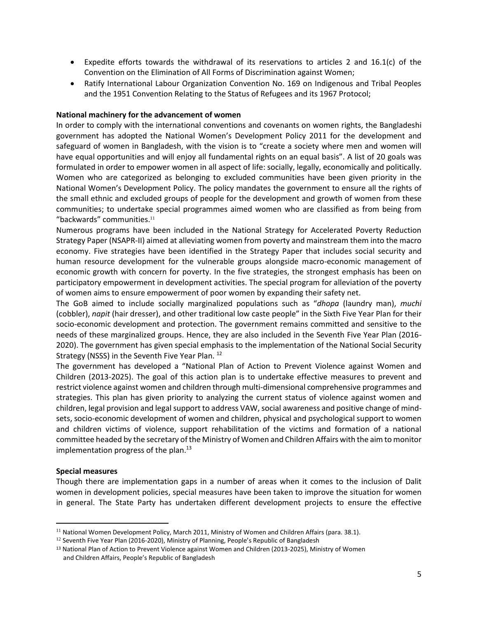- Expedite efforts towards the withdrawal of its reservations to articles 2 and  $16.1(c)$  of the Convention on the Elimination of All Forms of Discrimination against Women;
- Ratify International Labour Organization Convention No. 169 on Indigenous and Tribal Peoples and the 1951 Convention Relating to the Status of Refugees and its 1967 Protocol;

## **National machinery for the advancement of women**

In order to comply with the international conventions and covenants on women rights, the Bangladeshi government has adopted the National Women's Development Policy 2011 for the development and safeguard of women in Bangladesh, with the vision is to "create a society where men and women will have equal opportunities and will enjoy all fundamental rights on an equal basis". A list of 20 goals was formulated in order to empower women in all aspect of life: socially, legally, economically and politically. Women who are categorized as belonging to excluded communities have been given priority in the National Women's Development Policy. The policy mandates the government to ensure all the rights of the small ethnic and excluded groups of people for the development and growth of women from these communities; to undertake special programmes aimed women who are classified as from being from "backwards" communities. 11

Numerous programs have been included in the National Strategy for Accelerated Poverty Reduction Strategy Paper (NSAPR-II) aimed at alleviating women from poverty and mainstream them into the macro economy. Five strategies have been identified in the Strategy Paper that includes social security and human resource development for the vulnerable groups alongside macro-economic management of economic growth with concern for poverty. In the five strategies, the strongest emphasis has been on participatory empowerment in development activities. The special program for alleviation of the poverty of women aims to ensure empowerment of poor women by expanding their safety net.

The GoB aimed to include socially marginalized populations such as "*dhopa* (laundry man), *muchi*  (cobbler), *napit* (hair dresser), and other traditional low caste people" in the Sixth Five Year Plan for their socio-economic development and protection. The government remains committed and sensitive to the needs of these marginalized groups. Hence, they are also included in the Seventh Five Year Plan (2016- 2020). The government has given special emphasis to the implementation of the National Social Security Strategy (NSSS) in the Seventh Five Year Plan. <sup>12</sup>

The government has developed a "National Plan of Action to Prevent Violence against Women and Children (2013-2025). The goal of this action plan is to undertake effective measures to prevent and restrict violence against women and children through multi-dimensional comprehensive programmes and strategies. This plan has given priority to analyzing the current status of violence against women and children, legal provision and legal support to address VAW, social awareness and positive change of mindsets, socio-economic development of women and children, physical and psychological support to women and children victims of violence, support rehabilitation of the victims and formation of a national committee headed by the secretary of the Ministry of Women and Children Affairs with the aim to monitor implementation progress of the plan. 13

## **Special measures**

 $\overline{\phantom{a}}$ 

Though there are implementation gaps in a number of areas when it comes to the inclusion of Dalit women in development policies, special measures have been taken to improve the situation for women in general. The State Party has undertaken different development projects to ensure the effective

<sup>&</sup>lt;sup>11</sup> National Women Development Policy, March 2011, Ministry of Women and Children Affairs (para. 38.1).

<sup>&</sup>lt;sup>12</sup> Seventh Five Year Plan (2016-2020), Ministry of Planning, People's Republic of Bangladesh

<sup>&</sup>lt;sup>13</sup> National Plan of Action to Prevent Violence against Women and Children (2013-2025), Ministry of Women and Children Affairs, People's Republic of Bangladesh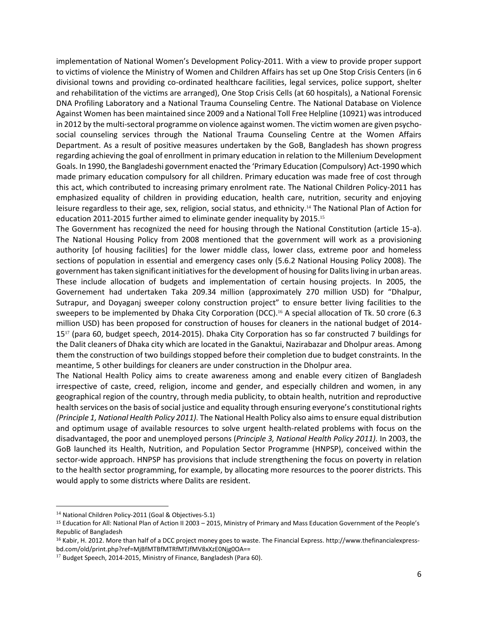implementation of National Women's Development Policy-2011. With a view to provide proper support to victims of violence the Ministry of Women and Children Affairs has set up One Stop Crisis Centers (in 6 divisional towns and providing co-ordinated healthcare facilities, legal services, police support, shelter and rehabilitation of the victims are arranged), One Stop Crisis Cells (at 60 hospitals), a National Forensic DNA Profiling Laboratory and a National Trauma Counseling Centre. The National Database on Violence Against Women has been maintained since 2009 and a National Toll Free Helpline (10921) was introduced in 2012 by the multi-sectoral programme on violence against women. The victim women are given psychosocial counseling services through the National Trauma Counseling Centre at the Women Affairs Department. As a result of positive measures undertaken by the GoB, Bangladesh has shown progress regarding achieving the goal of enrollment in primary education in relation to the Millenium Development Goals. In 1990, the Bangladeshi government enacted the 'Primary Education (Compulsory) Act-1990 which made primary education compulsory for all children. Primary education was made free of cost through this act, which contributed to increasing primary enrolment rate. The National Children Policy-2011 has emphasized equality of children in providing education, health care, nutrition, security and enjoying leisure regardless to their age, sex, religion, social status, and ethnicity.<sup>14</sup> The National Plan of Action for education 2011-2015 further aimed to eliminate gender inequality by 2015.<sup>15</sup>

The Government has recognized the need for housing through the National Constitution (article 15-a). The National Housing Policy from 2008 mentioned that the government will work as a provisioning authority [of housing facilities] for the lower middle class, lower class, extreme poor and homeless sections of population in essential and emergency cases only (5.6.2 National Housing Policy 2008). The government has taken significant initiatives for the development of housing for Dalits living in urban areas. These include allocation of budgets and implementation of certain housing projects. In 2005, the Governement had undertaken Taka 209.34 million (approximately 270 million USD) for "Dhalpur, Sutrapur, and Doyaganj sweeper colony construction project" to ensure better living facilities to the sweepers to be implemented by Dhaka City Corporation (DCC).<sup>16</sup> A special allocation of Tk. 50 crore (6.3 million USD) has been proposed for construction of houses for cleaners in the national budget of 2014- 15<sup>17</sup> (para 60, budget speech, 2014-2015). Dhaka City Corporation has so far constructed 7 buildings for the Dalit cleaners of Dhaka city which are located in the Ganaktui, Nazirabazar and Dholpur areas. Among them the construction of two buildings stopped before their completion due to budget constraints. In the meantime, 5 other buildings for cleaners are under construction in the Dholpur area.

The National Health Policy aims to create awareness among and enable every citizen of Bangladesh irrespective of caste, creed, religion, income and gender, and especially children and women, in any geographical region of the country, through media publicity, to obtain health, nutrition and reproductive health services on the basis of social justice and equality through ensuring everyone's constitutional rights *(Principle 1, National Health Policy 2011).* The National Health Policy also aims to ensure equal distribution and optimum usage of available resources to solve urgent health-related problems with focus on the disadvantaged, the poor and unemployed persons (*Principle 3, National Health Policy 2011).* In 2003, the GoB launched its Health, Nutrition, and Population Sector Programme (HNPSP), conceived within the sector-wide approach. HNPSP has provisions that include strengthening the focus on poverty in relation to the health sector programming, for example, by allocating more resources to the poorer districts. This would apply to some districts where Dalits are resident.

<sup>&</sup>lt;sup>14</sup> National Children Policy-2011 (Goal & Objectives-5.1)

<sup>15</sup> Education for All: National Plan of Action II 2003 – 2015, Ministry of Primary and Mass Education Government of the People's Republic of Bangladesh

<sup>16</sup> Kabir, H. 2012. More than half of a DCC project money goes to waste. The Financial Express[. http://www.thefinancialexpress](http://www.thefinancialexpress-bd.com/old/print.php?ref=MjBfMTBfMTRfMTJfMV8xXzE0Njg0OA)[bd.com/old/print.php?ref=MjBfMTBfMTRfMTJfMV8xXzE0Njg0OA=](http://www.thefinancialexpress-bd.com/old/print.php?ref=MjBfMTBfMTRfMTJfMV8xXzE0Njg0OA)=

<sup>&</sup>lt;sup>17</sup> Budget Speech, 2014-2015, Ministry of Finance, Bangladesh (Para 60).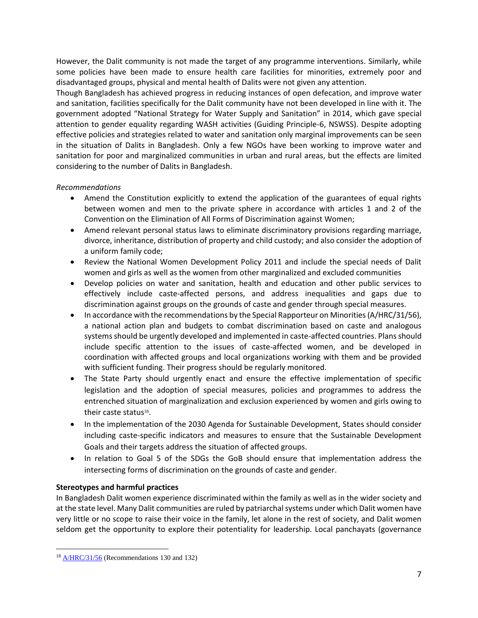However, the Dalit community is not made the target of any programme interventions. Similarly, while some policies have been made to ensure health care facilities for minorities, extremely poor and disadvantaged groups, physical and mental health of Dalits were not given any attention.

Though Bangladesh has achieved progress in reducing instances of open defecation, and improve water and sanitation, facilities specifically for the Dalit community have not been developed in line with it. The government adopted "National Strategy for Water Supply and Sanitation" in 2014, which gave special attention to gender equality regarding WASH activities (Guiding Principle-6, NSWSS). Despite adopting effective policies and strategies related to water and sanitation only marginal improvements can be seen in the situation of Dalits in Bangladesh. Only a few NGOs have been working to improve water and sanitation for poor and marginalized communities in urban and rural areas, but the effects are limited considering to the number of Dalits in Bangladesh.

## *Recommendations*

- Amend the Constitution explicitly to extend the application of the guarantees of equal rights between women and men to the private sphere in accordance with articles 1 and 2 of the Convention on the Elimination of All Forms of Discrimination against Women;
- Amend relevant personal status laws to eliminate discriminatory provisions regarding marriage, divorce, inheritance, distribution of property and child custody; and also consider the adoption of a uniform family code;
- Review the National Women Development Policy 2011 and include the special needs of Dalit women and girls as well as the women from other marginalized and excluded communities
- Develop policies on water and sanitation, health and education and other public services to effectively include caste-affected persons, and address inequalities and gaps due to discrimination against groups on the grounds of caste and gender through special measures.
- $\bullet$  In accordance with the recommendations by the Special Rapporteur on Minorities (A/HRC/31/56), a national action plan and budgets to combat discrimination based on caste and analogous systems should be urgently developed and implemented in caste-affected countries. Plans should include specific attention to the issues of caste-affected women, and be developed in coordination with affected groups and local organizations working with them and be provided with sufficient funding. Their progress should be regularly monitored.
- The State Party should urgently enact and ensure the effective implementation of specific legislation and the adoption of special measures, policies and programmes to address the entrenched situation of marginalization and exclusion experienced by women and girls owing to their caste status<sup>18</sup>.
- In the implementation of the 2030 Agenda for Sustainable Development, States should consider including caste-specific indicators and measures to ensure that the Sustainable Development Goals and their targets address the situation of affected groups.
- In relation to Goal 5 of the SDGs the GoB should ensure that implementation address the intersecting forms of discrimination on the grounds of caste and gender.

## **Stereotypes and harmful practices**

In Bangladesh Dalit women experience discriminated within the family as well as in the wider society and at the state level. Many Dalit communities are ruled by patriarchal systems under which Dalit women have very little or no scope to raise their voice in the family, let alone in the rest of society, and Dalit women seldom get the opportunity to explore their potentiality for leadership. Local panchayats (governance

 $18$   $\triangle$ /HRC/31/56 (Recommendations 130 and 132)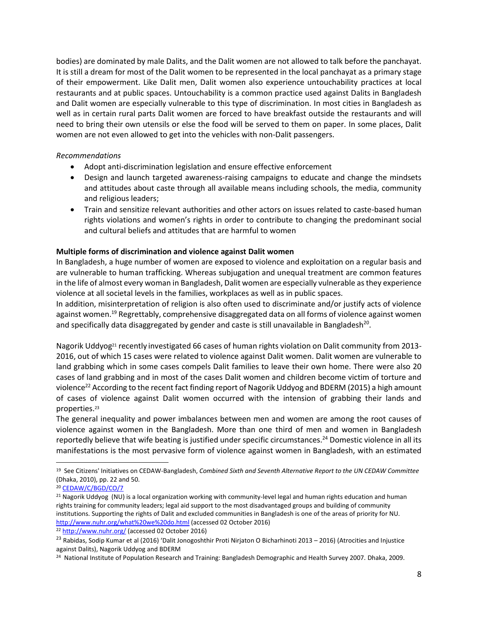bodies) are dominated by male Dalits, and the Dalit women are not allowed to talk before the panchayat. It is still a dream for most of the Dalit women to be represented in the local panchayat as a primary stage of their empowerment. Like Dalit men, Dalit women also experience untouchability practices at local restaurants and at public spaces. Untouchability is a common practice used against Dalits in Bangladesh and Dalit women are especially vulnerable to this type of discrimination. In most cities in Bangladesh as well as in certain rural parts Dalit women are forced to have breakfast outside the restaurants and will need to bring their own utensils or else the food will be served to them on paper. In some places, Dalit women are not even allowed to get into the vehicles with non-Dalit passengers.

## *Recommendations*

- Adopt anti-discrimination legislation and ensure effective enforcement
- Design and launch targeted awareness-raising campaigns to educate and change the mindsets and attitudes about caste through all available means including schools, the media, community and religious leaders;
- Train and sensitize relevant authorities and other actors on issues related to caste-based human rights violations and women's rights in order to contribute to changing the predominant social and cultural beliefs and attitudes that are harmful to women

## **Multiple forms of discrimination and violence against Dalit women**

In Bangladesh, a huge number of women are exposed to violence and exploitation on a regular basis and are vulnerable to human trafficking. Whereas subjugation and unequal treatment are common features in the life of almost every woman in Bangladesh, Dalit women are especially vulnerable as they experience violence at all societal levels in the families, workplaces as well as in public spaces.

In addition, misinterpretation of religion is also often used to discriminate and/or justify acts of violence against women.<sup>19</sup> Regrettably, comprehensive disaggregated data on all forms of violence against women and specifically data disaggregated by gender and caste is still unavailable in Bangladesh<sup>20</sup>.

Nagorik Uddyog<sup>21</sup> recently investigated 66 cases of human rights violation on Dalit community from 2013-2016, out of which 15 cases were related to violence against Dalit women. Dalit women are vulnerable to land grabbing which in some cases compels Dalit families to leave their own home. There were also 20 cases of land grabbing and in most of the cases Dalit women and children become victim of torture and violence<sup>22</sup> According to the recent fact finding report of Nagorik Uddyog and BDERM (2015) a high amount of cases of violence against Dalit women occurred with the intension of grabbing their lands and properties.<sup>23</sup>

The general inequality and power imbalances between men and women are among the root causes of violence against women in the Bangladesh. More than one third of men and women in Bangladesh reportedly believe that wife beating is justified under specific circumstances.<sup>24</sup> Domestic violence in all its manifestations is the most pervasive form of violence against women in Bangladesh, with an estimated

<sup>19</sup> See Citizens' Initiatives on CEDAW-Bangladesh, *Combined Sixth and Seventh Alternative Report to the UN CEDAW Committee* (Dhaka, 2010), pp. 22 and 50.

<sup>20</sup> [CEDAW/C/BGD/CO/7](http://www2.ohchr.org/english/bodies/cedaw/docs/co/CEDAW-C-BGD-CO-7.pdf)

<sup>21</sup> Nagorik Uddyog (NU) is a local organization working with community-level legal and human rights education and human rights training for community leaders; legal aid support to the most disadvantaged groups and building of community institutions. Supporting the rights of Dalit and excluded communities in Bangladesh is one of the areas of priority for NU. <http://www.nuhr.org/what%20we%20do.html> (accessed 02 October 2016)

<sup>22</sup> <http://www.nuhr.org/> (accessed 02 October 2016)

<sup>&</sup>lt;sup>23</sup> Rabidas, Sodip Kumar et al (2016) 'Dalit Jonogoshthir Proti Nirjaton O Bicharhinoti 2013 – 2016) (Atrocities and Injustice against Dalits), Nagorik Uddyog and BDERM

<sup>24</sup> National Institute of Population Research and Training: Bangladesh Demographic and Health Survey 2007*.* Dhaka, 2009.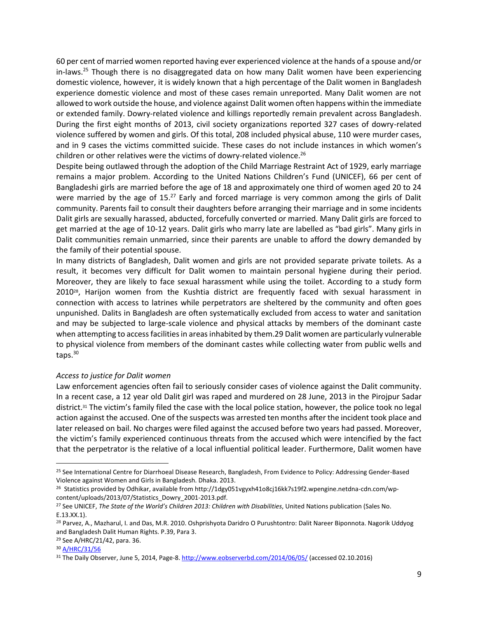60 per cent of married women reported having ever experienced violence at the hands of a spouse and/or in-laws.<sup>25</sup> Though there is no disaggregated data on how many Dalit women have been experiencing domestic violence, however, it is widely known that a high percentage of the Dalit women in Bangladesh experience domestic violence and most of these cases remain unreported. Many Dalit women are not allowed to work outside the house, and violence against Dalit women often happens within the immediate or extended family. Dowry-related violence and killings reportedly remain prevalent across Bangladesh. During the first eight months of 2013, civil society organizations reported 327 cases of dowry-related violence suffered by women and girls. Of this total, 208 included physical abuse, 110 were murder cases, and in 9 cases the victims committed suicide. These cases do not include instances in which women's children or other relatives were the victims of dowry-related violence.<sup>26</sup>

Despite being outlawed through the adoption of the Child Marriage Restraint Act of 1929, early marriage remains a major problem. According to the United Nations Children's Fund (UNICEF), 66 per cent of Bangladeshi girls are married before the age of 18 and approximately one third of women aged 20 to 24 were married by the age of 15.<sup>27</sup> Early and forced marriage is very common among the girls of Dalit community. Parents fail to consult their daughters before arranging their marriage and in some incidents Dalit girls are sexually harassed, abducted, forcefully converted or married. Many Dalit girls are forced to get married at the age of 10-12 years. Dalit girls who marry late are labelled as "bad girls". Many girls in Dalit communities remain unmarried, since their parents are unable to afford the dowry demanded by the family of their potential spouse.

In many districts of Bangladesh, Dalit women and girls are not provided separate private toilets. As a result, it becomes very difficult for Dalit women to maintain personal hygiene during their period. Moreover, they are likely to face sexual harassment while using the toilet. According to a study form 2010<sup>28</sup>, Harijon women from the Kushtia district are frequently faced with sexual harassment in connection with access to latrines while perpetrators are sheltered by the community and often goes unpunished. Dalits in Bangladesh are often systematically excluded from access to water and sanitation and may be subjected to large-scale violence and physical attacks by members of the dominant caste when attempting to access facilities in areas inhabited by them.29 Dalit women are particularly vulnerable to physical violence from members of the dominant castes while collecting water from public wells and taps. 30

## *Access to justice for Dalit women*

Law enforcement agencies often fail to seriously consider cases of violence against the Dalit community. In a recent case, a 12 year old Dalit girl was raped and murdered on 28 June, 2013 in the Pirojpur Sadar district.<sup>31</sup> The victim's family filed the case with the local police station, however, the police took no legal action against the accused. One of the suspects was arrested ten months after the incident took place and later released on bail. No charges were filed against the accused before two years had passed. Moreover, the victim's family experienced continuous threats from the accused which were intencified by the fact that the perpetrator is the relative of a local influential political leader. Furthermore, Dalit women have

 $\overline{a}$ 

<sup>&</sup>lt;sup>25</sup> See International Centre for Diarrhoeal Disease Research, Bangladesh, From Evidence to Policy: Addressing Gender-Based Violence against Women and Girls in Bangladesh. Dhaka. 2013.

<sup>&</sup>lt;sup>26</sup> Statistics provided by Odhikar, available from http://1dgy051vgyxh41o8cj16kk7s19f2.wpengine.netdna-cdn.com/wpcontent/uploads/2013/07/Statistics\_Dowry\_2001-2013.pdf.

<sup>27</sup> See UNICEF, *The State of the World's Children 2013: Children with Disabilities*, United Nations publication (Sales No. E.13.XX.1).

<sup>&</sup>lt;sup>28</sup> Parvez, A., Mazharul, I. and Das, M.R. 2010. Oshprishyota Daridro O Purushtontro: Dalit Nareer Biponnota. Nagorik Uddyog and Bangladesh Dalit Human Rights. P.39, Para 3.

<sup>29</sup> See A/HRC/21/42, para. 36.

<sup>30</sup> [A/HRC/31/56](http://www.ohchr.org/EN/HRBodies/HRC/RegularSessions/Session31/Documents/A_HRC_31_56_en.doc)

<sup>&</sup>lt;sup>31</sup> The Daily Observer, June 5, 2014, Page-8[. http://www.eobserverbd.com/2014/06/05/](http://www.eobserverbd.com/2014/06/05/) (accessed 02.10.2016)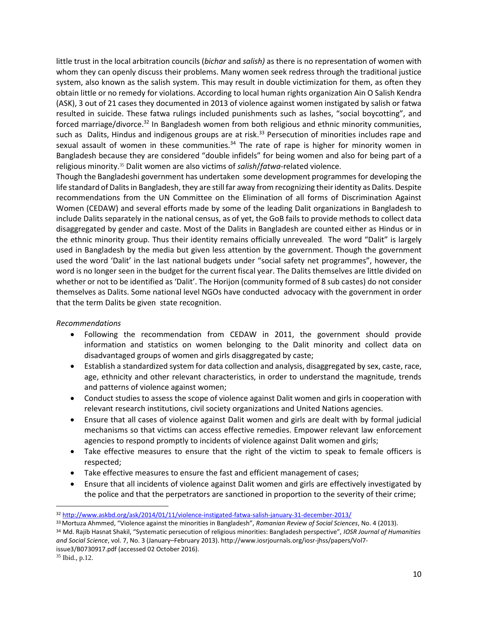little trust in the local arbitration councils (*bichar* and *salish)* as there is no representation of women with whom they can openly discuss their problems. Many women seek redress through the traditional justice system, also known as the salish system. This may result in double victimization for them, as often they obtain little or no remedy for violations. According to local human rights organization Ain O Salish Kendra (ASK), 3 out of 21 cases they documented in 2013 of violence against women instigated by salish or fatwa resulted in suicide. These fatwa rulings included punishments such as lashes, "social boycotting", and forced marriage/divorce.<sup>32</sup> In Bangladesh women from both religious and ethnic minority communities, such as Dalits, Hindus and indigenous groups are at risk.<sup>33</sup> Persecution of minorities includes rape and sexual assault of women in these communities. $34$  The rate of rape is higher for minority women in Bangladesh because they are considered "double infidels" for being women and also for being part of a religious minority.<sup>35</sup> Dalit women are also victims of *salish*/*fatwa*-related violence.

Though the Bangladeshi government has undertaken some development programmes for developing the life standard of Dalits in Bangladesh, they are still far away from recognizing their identity as Dalits. Despite recommendations from the UN Committee on the Elimination of all forms of Discrimination Against Women (CEDAW) and several efforts made by some of the leading Dalit organizations in Bangladesh to include Dalits separately in the national census, as of yet, the GoB fails to provide methods to collect data disaggregated by gender and caste. Most of the Dalits in Bangladesh are counted either as Hindus or in the ethnic minority group. Thus their identity remains officially unrevealed. The word "Dalit" is largely used in Bangladesh by the media but given less attention by the government. Though the government used the word 'Dalit' in the last national budgets under "social safety net programmes", however, the word is no longer seen in the budget for the current fiscal year. The Dalits themselves are little divided on whether or not to be identified as 'Dalit'. The Horijon (community formed of 8 sub castes) do not consider themselves as Dalits. Some national level NGOs have conducted advocacy with the government in order that the term Dalits be given state recognition.

## *Recommendations*

- Following the recommendation from CEDAW in 2011, the government should provide information and statistics on women belonging to the Dalit minority and collect data on disadvantaged groups of women and girls disaggregated by caste;
- Establish a standardized system for data collection and analysis, disaggregated by sex, caste, race, age, ethnicity and other relevant characteristics, in order to understand the magnitude, trends and patterns of violence against women;
- Conduct studies to assess the scope of violence against Dalit women and girls in cooperation with relevant research institutions, civil society organizations and United Nations agencies.
- Ensure that all cases of violence against Dalit women and girls are dealt with by formal judicial mechanisms so that victims can access effective remedies. Empower relevant law enforcement agencies to respond promptly to incidents of violence against Dalit women and girls;
- Take effective measures to ensure that the right of the victim to speak to female officers is respected;
- Take effective measures to ensure the fast and efficient management of cases;
- Ensure that all incidents of violence against Dalit women and girls are effectively investigated by the police and that the perpetrators are sanctioned in proportion to the severity of their crime;

<sup>32</sup> <http://www.askbd.org/ask/2014/01/11/violence-instigated-fatwa-salish-january-31-december-2013/>

<sup>33</sup>Mortuza Ahmmed, "Violence against the minorities in Bangladesh", *Romanian Review of Social Sciences*, No. 4 (2013). <sup>34</sup> Md. Rajib Hasnat Shakil, "Systematic persecution of religious minorities: Bangladesh perspective", *IOSR Journal of Humanities and Social Science*, vol. 7, No. 3 (January–February 2013)[. http://www.iosrjournals.org/iosr-jhss/papers/Vol7](http://www.iosrjournals.org/iosr-jhss/papers/Vol7-issue3/B0730917.pdf) [issue3/B0730917.pdf](http://www.iosrjournals.org/iosr-jhss/papers/Vol7-issue3/B0730917.pdf) (accessed 02 October 2016).

<sup>35</sup> Ibid., p.12.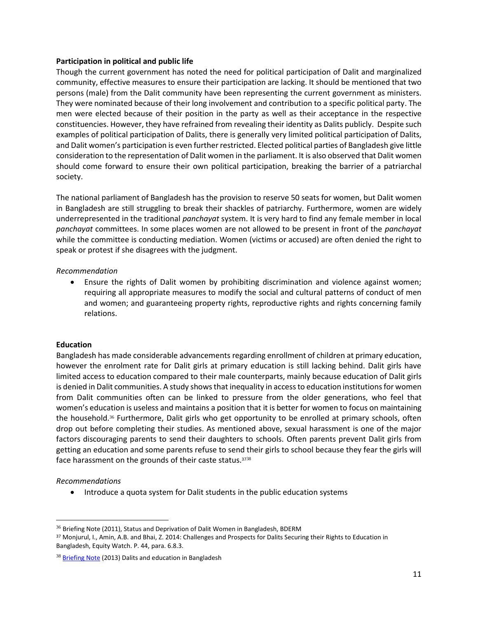#### **Participation in political and public life**

Though the current government has noted the need for political participation of Dalit and marginalized community, effective measures to ensure their participation are lacking. It should be mentioned that two persons (male) from the Dalit community have been representing the current government as ministers. They were nominated because of their long involvement and contribution to a specific political party. The men were elected because of their position in the party as well as their acceptance in the respective constituencies. However, they have refrained from revealing their identity as Dalits publicly. Despite such examples of political participation of Dalits, there is generally very limited political participation of Dalits, and Dalit women's participation is even further restricted. Elected political parties of Bangladesh give little consideration to the representation of Dalit women in the parliament. It is also observed that Dalit women should come forward to ensure their own political participation, breaking the barrier of a patriarchal society.

The national parliament of Bangladesh has the provision to reserve 50 seats for women, but Dalit women in Bangladesh are still struggling to break their shackles of patriarchy. Furthermore, women are widely underrepresented in the traditional *panchayat* system. It is very hard to find any female member in local *panchayat* committees. In some places women are not allowed to be present in front of the *panchayat* while the committee is conducting mediation. Women (victims or accused) are often denied the right to speak or protest if she disagrees with the judgment.

#### *Recommendation*

 Ensure the rights of Dalit women by prohibiting discrimination and violence against women; requiring all appropriate measures to modify the social and cultural patterns of conduct of men and women; and guaranteeing property rights, reproductive rights and rights concerning family relations.

## **Education**

Bangladesh has made considerable advancements regarding enrollment of children at primary education, however the enrolment rate for Dalit girls at primary education is still lacking behind. Dalit girls have limited access to education compared to their male counterparts, mainly because education of Dalit girls is denied in Dalit communities. A study shows that inequality in access to education institutions for women from Dalit communities often can be linked to pressure from the older generations, who feel that women's education is useless and maintains a position that it is better for women to focus on maintaining the household.<sup>36</sup> Furthermore, Dalit girls who get opportunity to be enrolled at primary schools, often drop out before completing their studies. As mentioned above, sexual harassment is one of the major factors discouraging parents to send their daughters to schools. Often parents prevent Dalit girls from getting an education and some parents refuse to send their girls to school because they fear the girls will face harassment on the grounds of their caste status.<sup>3738</sup>

## *Recommendations*

l

• Introduce a quota system for Dalit students in the public education systems

<sup>&</sup>lt;sup>36</sup> Briefing Note (2011), Status and Deprivation of Dalit Women in Bangladesh, BDERM

<sup>37</sup> Monjurul, I., Amin, A.B. and Bhai, Z. 2014: Challenges and Prospects for Dalits Securing their Rights to Education in Bangladesh, Equity Watch. P. 44, para. 6.8.3.

<sup>&</sup>lt;sup>38</sup> [Briefing Note](http://idsn.org/wp-content/uploads/2015/10/Education-Bangladesh-BriefingNote.pdf) (2013) Dalits and education in Bangladesh